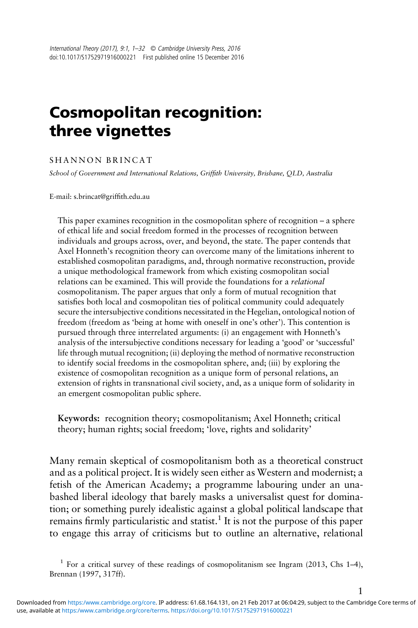# Cosmopolitan recognition: three vignettes

#### SHANNON BRINCAT

School of Government and International Relations, Griffith University, Brisbane, QLD, Australia

E-mail: [s.brincat@grif](mailto:s.brincat@griffith.edu.au)fith.edu.au

This paper examines recognition in the cosmopolitan sphere of recognition – a sphere of ethical life and social freedom formed in the processes of recognition between individuals and groups across, over, and beyond, the state. The paper contends that Axel Honneth's recognition theory can overcome many of the limitations inherent to established cosmopolitan paradigms, and, through normative reconstruction, provide a unique methodological framework from which existing cosmopolitan social relations can be examined. This will provide the foundations for a relational cosmopolitanism. The paper argues that only a form of mutual recognition that satisfies both local and cosmopolitan ties of political community could adequately secure the intersubjective conditions necessitated in the Hegelian, ontological notion of freedom (freedom as 'being at home with oneself in one's other'). This contention is pursued through three interrelated arguments: (i) an engagement with Honneth's analysis of the intersubjective conditions necessary for leading a 'good' or 'successful' life through mutual recognition; (ii) deploying the method of normative reconstruction to identify social freedoms in the cosmopolitan sphere, and; (iii) by exploring the existence of cosmopolitan recognition as a unique form of personal relations, an extension of rights in transnational civil society, and, as a unique form of solidarity in an emergent cosmopolitan public sphere.

Keywords: recognition theory; cosmopolitanism; Axel Honneth; critical theory; human rights; social freedom; 'love, rights and solidarity'

Many remain skeptical of cosmopolitanism both as a theoretical construct and as a political project. It is widely seen either as Western and modernist; a fetish of the American Academy; a programme labouring under an unabashed liberal ideology that barely masks a universalist quest for domination; or something purely idealistic against a global political landscape that remains firmly particularistic and statist.<sup>1</sup> It is not the purpose of this paper to engage this array of criticisms but to outline an alternative, relational

1

<sup>&</sup>lt;sup>1</sup> For a critical survey of these readings of cosmopolitanism see Ingram ([2013](#page-31-0), Chs 1-4), Brennan [\(1997,](#page-29-0) 317ff).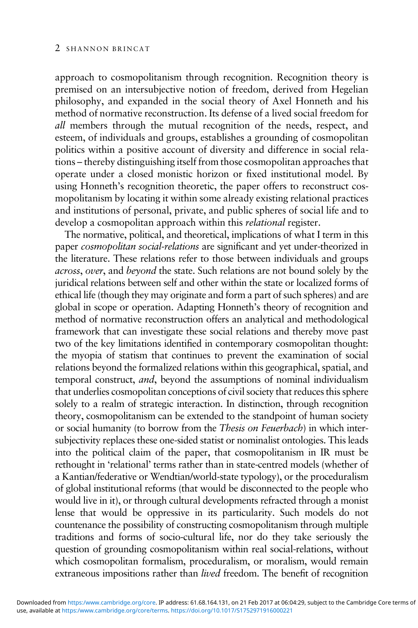approach to cosmopolitanism through recognition. Recognition theory is premised on an intersubjective notion of freedom, derived from Hegelian philosophy, and expanded in the social theory of Axel Honneth and his method of normative reconstruction. Its defense of a lived social freedom for all members through the mutual recognition of the needs, respect, and esteem, of individuals and groups, establishes a grounding of cosmopolitan politics within a positive account of diversity and difference in social relations – thereby distinguishing itself from those cosmopolitan approaches that operate under a closed monistic horizon or fixed institutional model. By using Honneth's recognition theoretic, the paper offers to reconstruct cosmopolitanism by locating it within some already existing relational practices and institutions of personal, private, and public spheres of social life and to develop a cosmopolitan approach within this relational register.

The normative, political, and theoretical, implications of what I term in this paper cosmopolitan social-relations are significant and yet under-theorized in the literature. These relations refer to those between individuals and groups across, over, and beyond the state. Such relations are not bound solely by the juridical relations between self and other within the state or localized forms of ethical life (though they may originate and form a part of such spheres) and are global in scope or operation. Adapting Honneth's theory of recognition and method of normative reconstruction offers an analytical and methodological framework that can investigate these social relations and thereby move past two of the key limitations identified in contemporary cosmopolitan thought: the myopia of statism that continues to prevent the examination of social relations beyond the formalized relations within this geographical, spatial, and temporal construct, and, beyond the assumptions of nominal individualism that underlies cosmopolitan conceptions of civil society that reduces this sphere solely to a realm of strategic interaction. In distinction, through recognition theory, cosmopolitanism can be extended to the standpoint of human society or social humanity (to borrow from the Thesis on Feuerbach) in which intersubjectivity replaces these one-sided statist or nominalist ontologies. This leads into the political claim of the paper, that cosmopolitanism in IR must be rethought in 'relational' terms rather than in state-centred models (whether of a Kantian/federative or Wendtian/world-state typology), or the proceduralism of global institutional reforms (that would be disconnected to the people who would live in it), or through cultural developments refracted through a monist lense that would be oppressive in its particularity. Such models do not countenance the possibility of constructing cosmopolitanism through multiple traditions and forms of socio-cultural life, nor do they take seriously the question of grounding cosmopolitanism within real social-relations, without which cosmopolitan formalism, proceduralism, or moralism, would remain extraneous impositions rather than lived freedom. The benefit of recognition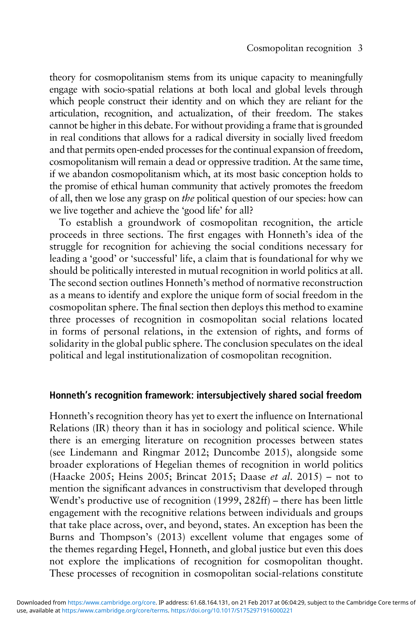theory for cosmopolitanism stems from its unique capacity to meaningfully engage with socio-spatial relations at both local and global levels through which people construct their identity and on which they are reliant for the articulation, recognition, and actualization, of their freedom. The stakes cannot be higher in this debate. For without providing a frame that is grounded in real conditions that allows for a radical diversity in socially lived freedom and that permits open-ended processes for the continual expansion of freedom, cosmopolitanism will remain a dead or oppressive tradition. At the same time, if we abandon cosmopolitanism which, at its most basic conception holds to the promise of ethical human community that actively promotes the freedom of all, then we lose any grasp on the political question of our species: how can we live together and achieve the 'good life' for all?

To establish a groundwork of cosmopolitan recognition, the article proceeds in three sections. The first engages with Honneth's idea of the struggle for recognition for achieving the social conditions necessary for leading a 'good' or 'successful' life, a claim that is foundational for why we should be politically interested in mutual recognition in world politics at all. The second section outlines Honneth's method of normative reconstruction as a means to identify and explore the unique form of social freedom in the cosmopolitan sphere. The final section then deploys this method to examine three processes of recognition in cosmopolitan social relations located in forms of personal relations, in the extension of rights, and forms of solidarity in the global public sphere. The conclusion speculates on the ideal political and legal institutionalization of cosmopolitan recognition.

## Honneth's recognition framework: intersubjectively shared social freedom

Honneth's recognition theory has yet to exert the influence on International Relations (IR) theory than it has in sociology and political science. While there is an emerging literature on recognition processes between states (see Lindemann and Ringmar [2012;](#page-31-0) Duncombe [2015](#page-30-0)), alongside some broader explorations of Hegelian themes of recognition in world politics (Haacke [2005;](#page-30-0) Heins [2005;](#page-30-0) Brincat [2015](#page-29-0); Daase et al. [2015\)](#page-30-0) – not to mention the significant advances in constructivism that developed through Wendt's productive use of recognition ([1999](#page-31-0), 282ff) – there has been little engagement with the recognitive relations between individuals and groups that take place across, over, and beyond, states. An exception has been the Burns and Thompson's [\(2013\)](#page-29-0) excellent volume that engages some of the themes regarding Hegel, Honneth, and global justice but even this does not explore the implications of recognition for cosmopolitan thought. These processes of recognition in cosmopolitan social-relations constitute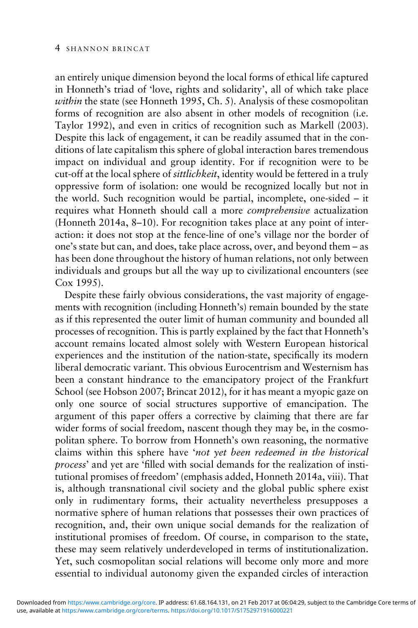#### 4 SHANNON BRINCAT

an entirely unique dimension beyond the local forms of ethical life captured in Honneth's triad of 'love, rights and solidarity', all of which take place within the state (see Honneth [1995](#page-30-0), Ch. 5). Analysis of these cosmopolitan forms of recognition are also absent in other models of recognition (i.e. Taylor [1992](#page-31-0)), and even in critics of recognition such as Markell [\(2003\)](#page-31-0). Despite this lack of engagement, it can be readily assumed that in the conditions of late capitalism this sphere of global interaction bares tremendous impact on individual and group identity. For if recognition were to be cut-off at the local sphere of sittlichkeit, identity would be fettered in a truly oppressive form of isolation: one would be recognized locally but not in the world. Such recognition would be partial, incomplete, one-sided – it requires what Honneth should call a more comprehensive actualization (Honneth [2014](#page-31-0)a, 8–10). For recognition takes place at any point of interaction: it does not stop at the fence-line of one's village nor the border of one's state but can, and does, take place across, over, and beyond them – as has been done throughout the history of human relations, not only between individuals and groups but all the way up to civilizational encounters (see Cox [1995\)](#page-29-0).

Despite these fairly obvious considerations, the vast majority of engagements with recognition (including Honneth's) remain bounded by the state as if this represented the outer limit of human community and bounded all processes of recognition. This is partly explained by the fact that Honneth's account remains located almost solely with Western European historical experiences and the institution of the nation-state, specifically its modern liberal democratic variant. This obvious Eurocentrism and Westernism has been a constant hindrance to the emancipatory project of the Frankfurt School (see Hobson [2007;](#page-30-0) Brincat [2012\)](#page-29-0), for it has meant a myopic gaze on only one source of social structures supportive of emancipation. The argument of this paper offers a corrective by claiming that there are far wider forms of social freedom, nascent though they may be, in the cosmopolitan sphere. To borrow from Honneth's own reasoning, the normative claims within this sphere have 'not yet been redeemed in the historical process' and yet are 'filled with social demands for the realization of institutional promises of freedom' (emphasis added, Honneth [2014](#page-31-0)a, viii). That is, although transnational civil society and the global public sphere exist only in rudimentary forms, their actuality nevertheless presupposes a normative sphere of human relations that possesses their own practices of recognition, and, their own unique social demands for the realization of institutional promises of freedom. Of course, in comparison to the state, these may seem relatively underdeveloped in terms of institutionalization. Yet, such cosmopolitan social relations will become only more and more essential to individual autonomy given the expanded circles of interaction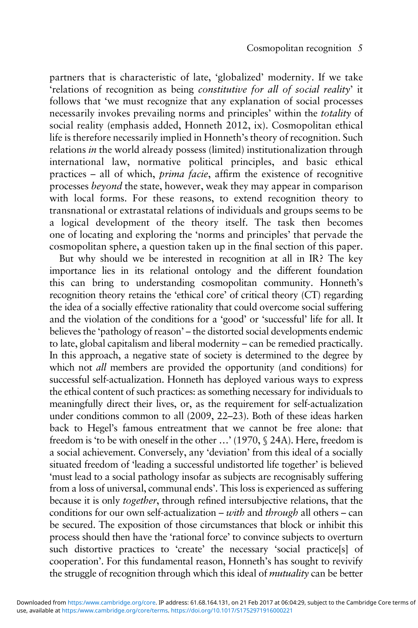partners that is characteristic of late, 'globalized' modernity. If we take 'relations of recognition as being constitutive for all of social reality' it follows that 'we must recognize that any explanation of social processes necessarily invokes prevailing norms and principles' within the totality of social reality (emphasis added, Honneth 2012, ix). Cosmopolitan ethical life is therefore necessarily implied in Honneth's theory of recognition. Such relations in the world already possess (limited) institutionalization through international law, normative political principles, and basic ethical practices – all of which, prima facie, affirm the existence of recognitive processes beyond the state, however, weak they may appear in comparison with local forms. For these reasons, to extend recognition theory to transnational or extrastatal relations of individuals and groups seems to be a logical development of the theory itself. The task then becomes one of locating and exploring the 'norms and principles' that pervade the cosmopolitan sphere, a question taken up in the final section of this paper.

But why should we be interested in recognition at all in IR? The key importance lies in its relational ontology and the different foundation this can bring to understanding cosmopolitan community. Honneth's recognition theory retains the 'ethical core' of critical theory (CT) regarding the idea of a socially effective rationality that could overcome social suffering and the violation of the conditions for a 'good' or 'successful' life for all. It believes the 'pathology of reason' – the distorted social developments endemic to late, global capitalism and liberal modernity – can be remedied practically. In this approach, a negative state of society is determined to the degree by which not *all* members are provided the opportunity (and conditions) for successful self-actualization. Honneth has deployed various ways to express the ethical content of such practices: as something necessary for individuals to meaningfully direct their lives, or, as the requirement for self-actualization under conditions common to all ([2009,](#page-30-0) 22–23). Both of these ideas harken back to Hegel's famous entreatment that we cannot be free alone: that freedom is 'to be with oneself in the other …' (1970, § 24A). Here, freedom is a social achievement. Conversely, any 'deviation' from this ideal of a socially situated freedom of 'leading a successful undistorted life together' is believed 'must lead to a social pathology insofar as subjects are recognisably suffering from a loss of universal, communal ends'. This loss is experienced as suffering because it is only together, through refined intersubjective relations, that the conditions for our own self-actualization – with and through all others – can be secured. The exposition of those circumstances that block or inhibit this process should then have the 'rational force' to convince subjects to overturn such distortive practices to 'create' the necessary 'social practice[s] of cooperation'. For this fundamental reason, Honneth's has sought to revivify the struggle of recognition through which this ideal of mutuality can be better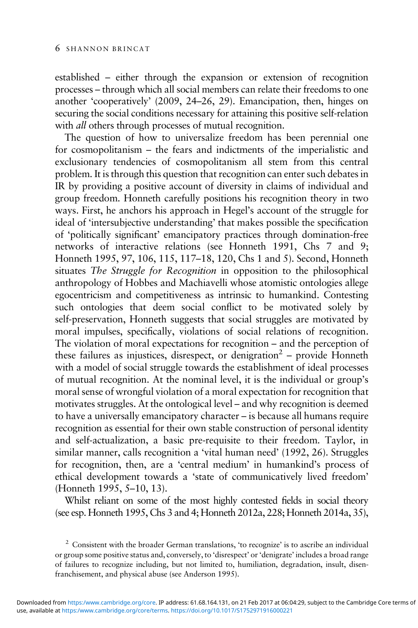established – either through the expansion or extension of recognition processes – through which all social members can relate their freedoms to one another 'cooperatively' ([2009,](#page-30-0) 24–26, 29). Emancipation, then, hinges on securing the social conditions necessary for attaining this positive self-relation with *all* others through processes of mutual recognition.

The question of how to universalize freedom has been perennial one for cosmopolitanism – the fears and indictments of the imperialistic and exclusionary tendencies of cosmopolitanism all stem from this central problem. It is through this question that recognition can enter such debates in IR by providing a positive account of diversity in claims of individual and group freedom. Honneth carefully positions his recognition theory in two ways. First, he anchors his approach in Hegel's account of the struggle for ideal of 'intersubjective understanding' that makes possible the specification of 'politically significant' emancipatory practices through domination-free networks of interactive relations (see Honneth [1991](#page-30-0), Chs 7 and 9; Honneth [1995,](#page-30-0) 97, 106, 115, 117–18, 120, Chs 1 and 5). Second, Honneth situates The Struggle for Recognition in opposition to the philosophical anthropology of Hobbes and Machiavelli whose atomistic ontologies allege egocentricism and competitiveness as intrinsic to humankind. Contesting such ontologies that deem social conflict to be motivated solely by self-preservation, Honneth suggests that social struggles are motivated by moral impulses, specifically, violations of social relations of recognition. The violation of moral expectations for recognition – and the perception of these failures as injustices, disrespect, or denigration<sup>2</sup> – provide Honneth with a model of social struggle towards the establishment of ideal processes of mutual recognition. At the nominal level, it is the individual or group's moral sense of wrongful violation of a moral expectation for recognition that motivates struggles. At the ontological level – and why recognition is deemed to have a universally emancipatory character – is because all humans require recognition as essential for their own stable construction of personal identity and self-actualization, a basic pre-requisite to their freedom. Taylor, in similar manner, calls recognition a 'vital human need' [\(1992,](#page-31-0) 26). Struggles for recognition, then, are a 'central medium' in humankind's process of ethical development towards a 'state of communicatively lived freedom' (Honneth [1995](#page-30-0), 5–10, 13).

Whilst reliant on some of the most highly contested fields in social theory (see esp. Honneth [1995,](#page-30-0) Chs 3 and 4; Honneth [2012a](#page-30-0), 228; Honneth [2014a](#page-31-0), 35),

<sup>&</sup>lt;sup>2</sup> Consistent with the broader German translations, 'to recognize' is to ascribe an individual or group some positive status and, conversely, to 'disrespect' or 'denigrate' includes a broad range of failures to recognize including, but not limited to, humiliation, degradation, insult, disenfranchisement, and physical abuse (see Anderson [1995\)](#page-30-0).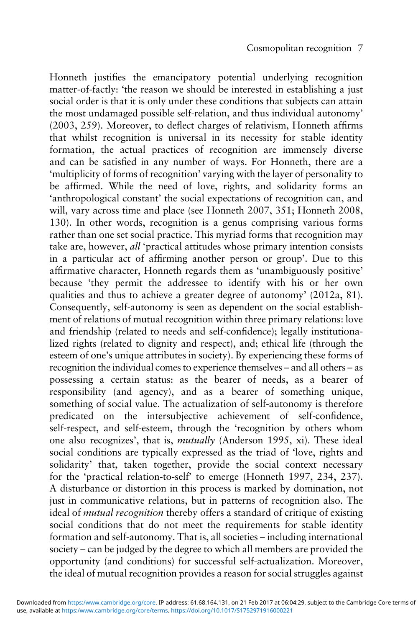Honneth justifies the emancipatory potential underlying recognition matter-of-factly: 'the reason we should be interested in establishing a just social order is that it is only under these conditions that subjects can attain the most undamaged possible self-relation, and thus individual autonomy' [\(2003,](#page-30-0) 259). Moreover, to deflect charges of relativism, Honneth affirms that whilst recognition is universal in its necessity for stable identity formation, the actual practices of recognition are immensely diverse and can be satisfied in any number of ways. For Honneth, there are a 'multiplicity of forms of recognition' varying with the layer of personality to be affirmed. While the need of love, rights, and solidarity forms an 'anthropological constant' the social expectations of recognition can, and will, vary across time and place (see Honneth [2007,](#page-30-0) 351; Honneth [2008](#page-30-0), 130). In other words, recognition is a genus comprising various forms rather than one set social practice. This myriad forms that recognition may take are, however, all 'practical attitudes whose primary intention consists in a particular act of affirming another person or group'. Due to this affirmative character, Honneth regards them as 'unambiguously positive' because 'they permit the addressee to identify with his or her own qualities and thus to achieve a greater degree of autonomy' ([2012](#page-30-0)a, 81). Consequently, self-autonomy is seen as dependent on the social establishment of relations of mutual recognition within three primary relations: love and friendship (related to needs and self-confidence); legally institutionalized rights (related to dignity and respect), and; ethical life (through the esteem of one's unique attributes in society). By experiencing these forms of recognition the individual comes to experience themselves – and all others – as possessing a certain status: as the bearer of needs, as a bearer of responsibility (and agency), and as a bearer of something unique, something of social value. The actualization of self-autonomy is therefore predicated on the intersubjective achievement of self-confidence, self-respect, and self-esteem, through the 'recognition by others whom one also recognizes', that is, mutually (Anderson [1995](#page-30-0), xi). These ideal social conditions are typically expressed as the triad of 'love, rights and solidarity' that, taken together, provide the social context necessary for the 'practical relation-to-self' to emerge (Honneth [1997,](#page-30-0) 234, 237). A disturbance or distortion in this process is marked by domination, not just in communicative relations, but in patterns of recognition also. The ideal of mutual recognition thereby offers a standard of critique of existing social conditions that do not meet the requirements for stable identity formation and self-autonomy. That is, all societies – including international society – can be judged by the degree to which all members are provided the opportunity (and conditions) for successful self-actualization. Moreover, the ideal of mutual recognition provides a reason for social struggles against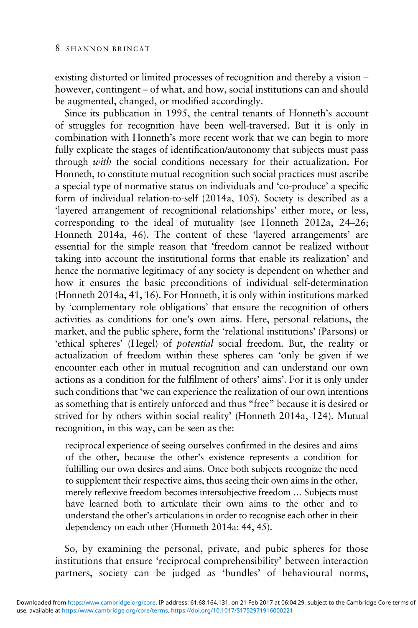existing distorted or limited processes of recognition and thereby a vision – however, contingent – of what, and how, social institutions can and should be augmented, changed, or modified accordingly.

Since its publication in 1995, the central tenants of Honneth's account of struggles for recognition have been well-traversed. But it is only in combination with Honneth's more recent work that we can begin to more fully explicate the stages of identification/autonomy that subjects must pass through with the social conditions necessary for their actualization. For Honneth, to constitute mutual recognition such social practices must ascribe a special type of normative status on individuals and 'co-produce' a specific form of individual relation-to-self [\(2014a](#page-31-0), 105). Society is described as a 'layered arrangement of recognitional relationships' either more, or less, corresponding to the ideal of mutuality (see Honneth [2012a](#page-30-0), 24–26; Honneth [2014a](#page-31-0), 46). The content of these 'layered arrangements' are essential for the simple reason that 'freedom cannot be realized without taking into account the institutional forms that enable its realization' and hence the normative legitimacy of any society is dependent on whether and how it ensures the basic preconditions of individual self-determination (Honneth [2014a](#page-31-0), 41, 16). For Honneth, it is only within institutions marked by 'complementary role obligations' that ensure the recognition of others activities as conditions for one's own aims. Here, personal relations, the market, and the public sphere, form the 'relational institutions' (Parsons) or 'ethical spheres' (Hegel) of potential social freedom. But, the reality or actualization of freedom within these spheres can 'only be given if we encounter each other in mutual recognition and can understand our own actions as a condition for the fulfilment of others' aims'. For it is only under such conditions that 'we can experience the realization of our own intentions as something that is entirely unforced and thus "free" because it is desired or strived for by others within social reality' (Honneth [2014a](#page-31-0), 124). Mutual recognition, in this way, can be seen as the:

reciprocal experience of seeing ourselves confirmed in the desires and aims of the other, because the other's existence represents a condition for fulfilling our own desires and aims. Once both subjects recognize the need to supplement their respective aims, thus seeing their own aims in the other, merely reflexive freedom becomes intersubjective freedom … Subjects must have learned both to articulate their own aims to the other and to understand the other's articulations in order to recognise each other in their dependency on each other (Honneth [2014a](#page-31-0): 44, 45).

So, by examining the personal, private, and pubic spheres for those institutions that ensure 'reciprocal comprehensibility' between interaction partners, society can be judged as 'bundles' of behavioural norms,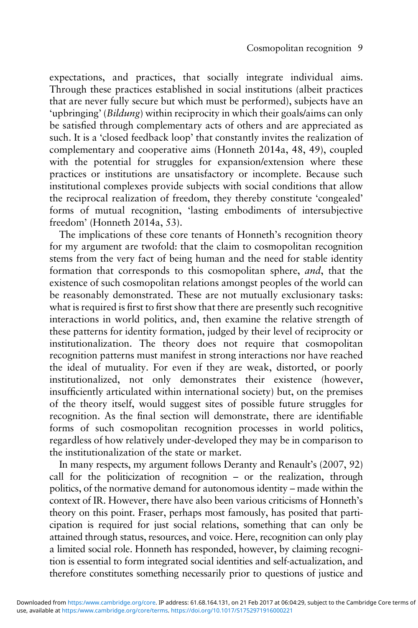expectations, and practices, that socially integrate individual aims. Through these practices established in social institutions (albeit practices that are never fully secure but which must be performed), subjects have an 'upbringing' (Bildung) within reciprocity in which their goals/aims can only be satisfied through complementary acts of others and are appreciated as such. It is a 'closed feedback loop' that constantly invites the realization of complementary and cooperative aims (Honneth [2014](#page-31-0)a, 48, 49), coupled with the potential for struggles for expansion/extension where these practices or institutions are unsatisfactory or incomplete. Because such institutional complexes provide subjects with social conditions that allow the reciprocal realization of freedom, they thereby constitute 'congealed' forms of mutual recognition, 'lasting embodiments of intersubjective freedom' (Honneth [2014a](#page-31-0), 53).

The implications of these core tenants of Honneth's recognition theory for my argument are twofold: that the claim to cosmopolitan recognition stems from the very fact of being human and the need for stable identity formation that corresponds to this cosmopolitan sphere, and, that the existence of such cosmopolitan relations amongst peoples of the world can be reasonably demonstrated. These are not mutually exclusionary tasks: what is required is first to first show that there are presently such recognitive interactions in world politics, and, then examine the relative strength of these patterns for identity formation, judged by their level of reciprocity or institutionalization. The theory does not require that cosmopolitan recognition patterns must manifest in strong interactions nor have reached the ideal of mutuality. For even if they are weak, distorted, or poorly institutionalized, not only demonstrates their existence (however, insufficiently articulated within international society) but, on the premises of the theory itself, would suggest sites of possible future struggles for recognition. As the final section will demonstrate, there are identifiable forms of such cosmopolitan recognition processes in world politics, regardless of how relatively under-developed they may be in comparison to the institutionalization of the state or market.

In many respects, my argument follows Deranty and Renault's [\(2007](#page-30-0), 92) call for the politicization of recognition – or the realization, through politics, of the normative demand for autonomous identity – made within the context of IR. However, there have also been various criticisms of Honneth's theory on this point. Fraser, perhaps most famously, has posited that participation is required for just social relations, something that can only be attained through status, resources, and voice. Here, recognition can only play a limited social role. Honneth has responded, however, by claiming recognition is essential to form integrated social identities and self-actualization, and therefore constitutes something necessarily prior to questions of justice and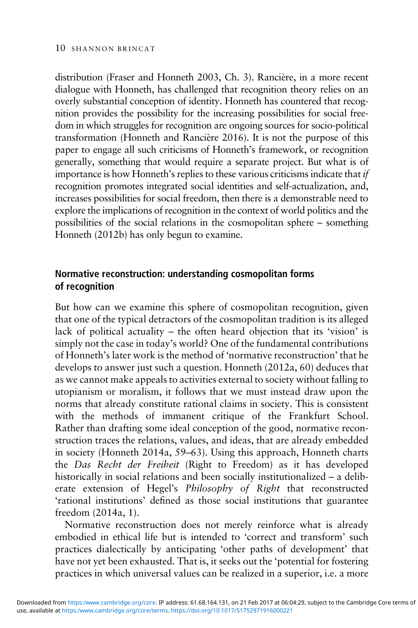distribution (Fraser and Honneth [2003](#page-30-0), Ch. 3). Rancière, in a more recent dialogue with Honneth, has challenged that recognition theory relies on an overly substantial conception of identity. Honneth has countered that recognition provides the possibility for the increasing possibilities for social freedom in which struggles for recognition are ongoing sources for socio-political transformation (Honneth and Rancière [2016\)](#page-31-0). It is not the purpose of this paper to engage all such criticisms of Honneth's framework, or recognition generally, something that would require a separate project. But what is of importance is how Honneth's replies to these various criticisms indicate that if recognition promotes integrated social identities and self-actualization, and, increases possibilities for social freedom, then there is a demonstrable need to explore the implications of recognition in the context of world politics and the possibilities of the social relations in the cosmopolitan sphere – something Honneth [\(2012b\)](#page-30-0) has only begun to examine.

# Normative reconstruction: understanding cosmopolitan forms of recognition

But how can we examine this sphere of cosmopolitan recognition, given that one of the typical detractors of the cosmopolitan tradition is its alleged lack of political actuality – the often heard objection that its 'vision' is simply not the case in today's world? One of the fundamental contributions of Honneth's later work is the method of 'normative reconstruction' that he develops to answer just such a question. Honneth ([2012a](#page-30-0), 60) deduces that as we cannot make appeals to activities external to society without falling to utopianism or moralism, it follows that we must instead draw upon the norms that already constitute rational claims in society. This is consistent with the methods of immanent critique of the Frankfurt School. Rather than drafting some ideal conception of the good, normative reconstruction traces the relations, values, and ideas, that are already embedded in society (Honneth [2014](#page-31-0)a, 59–63). Using this approach, Honneth charts the Das Recht der Freiheit (Right to Freedom) as it has developed historically in social relations and been socially institutionalized – a deliberate extension of Hegel's Philosophy of Right that reconstructed 'rational institutions' defined as those social institutions that guarantee freedom ([2014](#page-31-0)a, 1).

Normative reconstruction does not merely reinforce what is already embodied in ethical life but is intended to 'correct and transform' such practices dialectically by anticipating 'other paths of development' that have not yet been exhausted. That is, it seeks out the 'potential for fostering practices in which universal values can be realized in a superior, i.e. a more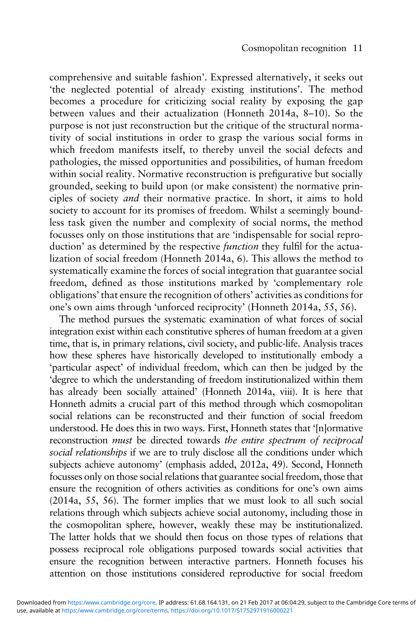comprehensive and suitable fashion'. Expressed alternatively, it seeks out 'the neglected potential of already existing institutions'. The method becomes a procedure for criticizing social reality by exposing the gap between values and their actualization (Honneth [2014a](#page-31-0), 8–10). So the purpose is not just reconstruction but the critique of the structural normativity of social institutions in order to grasp the various social forms in which freedom manifests itself, to thereby unveil the social defects and pathologies, the missed opportunities and possibilities, of human freedom within social reality. Normative reconstruction is prefigurative but socially grounded, seeking to build upon (or make consistent) the normative principles of society and their normative practice. In short, it aims to hold society to account for its promises of freedom. Whilst a seemingly boundless task given the number and complexity of social norms, the method focusses only on those institutions that are 'indispensable for social reproduction' as determined by the respective *function* they fulfil for the actualization of social freedom (Honneth [2014](#page-31-0)a, 6). This allows the method to systematically examine the forces of social integration that guarantee social freedom, defined as those institutions marked by 'complementary role obligations' that ensure the recognition of others' activities as conditions for one's own aims through 'unforced reciprocity' (Honneth [2014a](#page-31-0), 55, 56).

The method pursues the systematic examination of what forces of social integration exist within each constitutive spheres of human freedom at a given time, that is, in primary relations, civil society, and public-life. Analysis traces how these spheres have historically developed to institutionally embody a 'particular aspect' of individual freedom, which can then be judged by the 'degree to which the understanding of freedom institutionalized within them has already been socially attained' (Honneth [2014a](#page-31-0), viii). It is here that Honneth admits a crucial part of this method through which cosmopolitan social relations can be reconstructed and their function of social freedom understood. He does this in two ways. First, Honneth states that '[n]ormative reconstruction must be directed towards the entire spectrum of reciprocal social relationships if we are to truly disclose all the conditions under which subjects achieve autonomy' (emphasis added, [2012](#page-30-0)a, 49). Second, Honneth focusses only on those social relations that guarantee social freedom, those that ensure the recognition of others activities as conditions for one's own aims [\(2014a](#page-31-0), 55, 56). The former implies that we must look to all such social relations through which subjects achieve social autonomy, including those in the cosmopolitan sphere, however, weakly these may be institutionalized. The latter holds that we should then focus on those types of relations that possess reciprocal role obligations purposed towards social activities that ensure the recognition between interactive partners. Honneth focuses his attention on those institutions considered reproductive for social freedom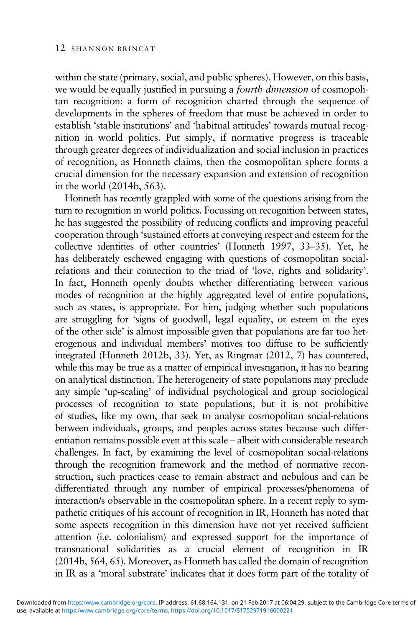within the state (primary, social, and public spheres). However, on this basis, we would be equally justified in pursuing a fourth dimension of cosmopolitan recognition: a form of recognition charted through the sequence of developments in the spheres of freedom that must be achieved in order to establish 'stable institutions' and 'habitual attitudes' towards mutual recognition in world politics. Put simply, if normative progress is traceable through greater degrees of individualization and social inclusion in practices of recognition, as Honneth claims, then the cosmopolitan sphere forms a crucial dimension for the necessary expansion and extension of recognition in the world [\(2014b,](#page-31-0) 563).

Honneth has recently grappled with some of the questions arising from the turn to recognition in world politics. Focussing on recognition between states, he has suggested the possibility of reducing conflicts and improving peaceful cooperation through 'sustained efforts at conveying respect and esteem for the collective identities of other countries' (Honneth [1997,](#page-30-0) 33–35). Yet, he has deliberately eschewed engaging with questions of cosmopolitan socialrelations and their connection to the triad of 'love, rights and solidarity'. In fact, Honneth openly doubts whether differentiating between various modes of recognition at the highly aggregated level of entire populations, such as states, is appropriate. For him, judging whether such populations are struggling for 'signs of goodwill, legal equality, or esteem in the eyes of the other side' is almost impossible given that populations are far too heterogenous and individual members' motives too diffuse to be sufficiently integrated (Honneth [2012b,](#page-30-0) 33). Yet, as Ringmar [\(2012](#page-31-0), 7) has countered, while this may be true as a matter of empirical investigation, it has no bearing on analytical distinction. The heterogeneity of state populations may preclude any simple 'up-scaling' of individual psychological and group sociological processes of recognition to state populations, but it is not prohibitive of studies, like my own, that seek to analyse cosmopolitan social-relations between individuals, groups, and peoples across states because such differentiation remains possible even at this scale – albeit with considerable research challenges. In fact, by examining the level of cosmopolitan social-relations through the recognition framework and the method of normative reconstruction, such practices cease to remain abstract and nebulous and can be differentiated through any number of empirical processes/phenomena of interaction/s observable in the cosmopolitan sphere. In a recent reply to sympathetic critiques of his account of recognition in IR, Honneth has noted that some aspects recognition in this dimension have not yet received sufficient attention (i.e. colonialism) and expressed support for the importance of transnational solidarities as a crucial element of recognition in IR ([2014b](#page-31-0), 564, 65). Moreover, as Honneth has called the domain of recognition in IR as a 'moral substrate' indicates that it does form part of the totality of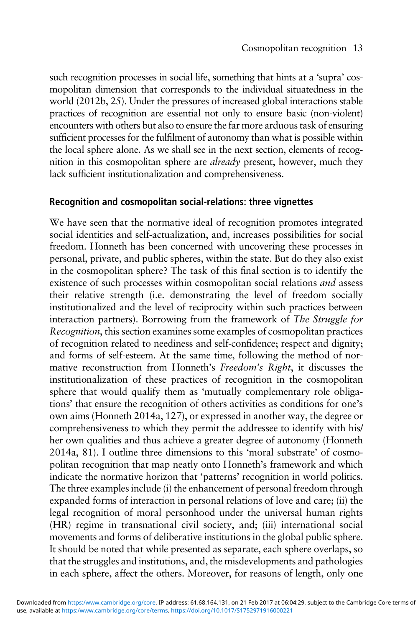such recognition processes in social life, something that hints at a 'supra' cosmopolitan dimension that corresponds to the individual situatedness in the world ([2012b,](#page-30-0) 25). Under the pressures of increased global interactions stable practices of recognition are essential not only to ensure basic (non-violent) encounters with others but also to ensure the far more arduous task of ensuring sufficient processes for the fulfilment of autonomy than what is possible within the local sphere alone. As we shall see in the next section, elements of recognition in this cosmopolitan sphere are already present, however, much they lack sufficient institutionalization and comprehensiveness.

## Recognition and cosmopolitan social-relations: three vignettes

We have seen that the normative ideal of recognition promotes integrated social identities and self-actualization, and, increases possibilities for social freedom. Honneth has been concerned with uncovering these processes in personal, private, and public spheres, within the state. But do they also exist in the cosmopolitan sphere? The task of this final section is to identify the existence of such processes within cosmopolitan social relations and assess their relative strength (i.e. demonstrating the level of freedom socially institutionalized and the level of reciprocity within such practices between interaction partners). Borrowing from the framework of The Struggle for Recognition, this section examines some examples of cosmopolitan practices of recognition related to neediness and self-confidence; respect and dignity; and forms of self-esteem. At the same time, following the method of normative reconstruction from Honneth's Freedom's Right, it discusses the institutionalization of these practices of recognition in the cosmopolitan sphere that would qualify them as 'mutually complementary role obligations' that ensure the recognition of others activities as conditions for one's own aims (Honneth [2014](#page-31-0)a, 127), or expressed in another way, the degree or comprehensiveness to which they permit the addressee to identify with his/ her own qualities and thus achieve a greater degree of autonomy (Honneth [2014](#page-31-0)a, 81). I outline three dimensions to this 'moral substrate' of cosmopolitan recognition that map neatly onto Honneth's framework and which indicate the normative horizon that 'patterns' recognition in world politics. The three examples include (i) the enhancement of personal freedom through expanded forms of interaction in personal relations of love and care; (ii) the legal recognition of moral personhood under the universal human rights (HR) regime in transnational civil society, and; (iii) international social movements and forms of deliberative institutions in the global public sphere. It should be noted that while presented as separate, each sphere overlaps, so that the struggles and institutions, and, the misdevelopments and pathologies in each sphere, affect the others. Moreover, for reasons of length, only one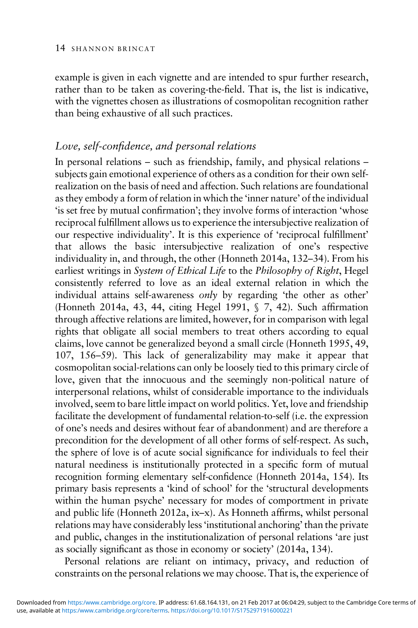example is given in each vignette and are intended to spur further research, rather than to be taken as covering-the-field. That is, the list is indicative, with the vignettes chosen as illustrations of cosmopolitan recognition rather than being exhaustive of all such practices.

# Love, self-confidence, and personal relations

In personal relations – such as friendship, family, and physical relations – subjects gain emotional experience of others as a condition for their own selfrealization on the basis of need and affection. Such relations are foundational as they embody a form of relation in which the 'inner nature' of the individual 'is set free by mutual confirmation'; they involve forms of interaction 'whose reciprocal fulfillment allows us to experience the intersubjective realization of our respective individuality'. It is this experience of 'reciprocal fulfillment' that allows the basic intersubjective realization of one's respective individuality in, and through, the other (Honneth [2014a](#page-31-0), 132–34). From his earliest writings in System of Ethical Life to the Philosophy of Right, Hegel consistently referred to love as an ideal external relation in which the individual attains self-awareness only by regarding 'the other as other' (Honneth [2014](#page-31-0)a, 43, 44, citing Hegel [1991](#page-30-0), § 7, 42). Such affirmation through affective relations are limited, however, for in comparison with legal rights that obligate all social members to treat others according to equal claims, love cannot be generalized beyond a small circle (Honneth [1995,](#page-30-0) 49, 107, 156–59). This lack of generalizability may make it appear that cosmopolitan social-relations can only be loosely tied to this primary circle of love, given that the innocuous and the seemingly non-political nature of interpersonal relations, whilst of considerable importance to the individuals involved, seem to bare little impact on world politics. Yet, love and friendship facilitate the development of fundamental relation-to-self (i.e. the expression of one's needs and desires without fear of abandonment) and are therefore a precondition for the development of all other forms of self-respect. As such, the sphere of love is of acute social significance for individuals to feel their natural neediness is institutionally protected in a specific form of mutual recognition forming elementary self-confidence (Honneth [2014](#page-31-0)a, 154). Its primary basis represents a 'kind of school' for the 'structural developments within the human psyche' necessary for modes of comportment in private and public life (Honneth [2012a](#page-30-0), ix–x). As Honneth affirms, whilst personal relations may have considerably less'institutional anchoring' than the private and public, changes in the institutionalization of personal relations 'are just as socially significant as those in economy or society' [\(2014](#page-31-0)a, 134).

Personal relations are reliant on intimacy, privacy, and reduction of constraints on the personal relations we may choose. That is, the experience of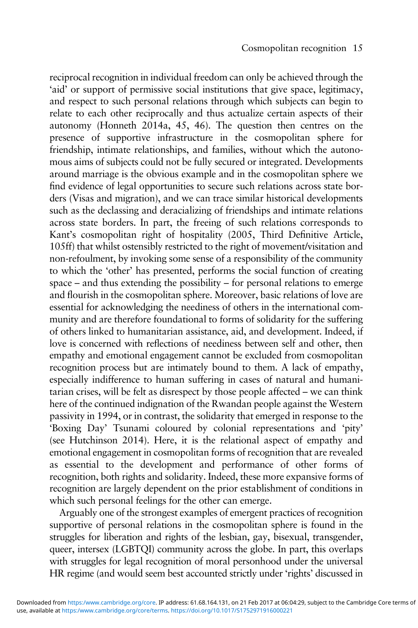reciprocal recognition in individual freedom can only be achieved through the 'aid' or support of permissive social institutions that give space, legitimacy, and respect to such personal relations through which subjects can begin to relate to each other reciprocally and thus actualize certain aspects of their autonomy (Honneth [2014](#page-31-0)a, 45, 46). The question then centres on the presence of supportive infrastructure in the cosmopolitan sphere for friendship, intimate relationships, and families, without which the autonomous aims of subjects could not be fully secured or integrated. Developments around marriage is the obvious example and in the cosmopolitan sphere we find evidence of legal opportunities to secure such relations across state borders (Visas and migration), and we can trace similar historical developments such as the declassing and deracializing of friendships and intimate relations across state borders. In part, the freeing of such relations corresponds to Kant's cosmopolitan right of hospitality [\(2005](#page-31-0), Third Definitive Article, 105ff) that whilst ostensibly restricted to the right of movement/visitation and non-refoulment, by invoking some sense of a responsibility of the community to which the 'other' has presented, performs the social function of creating space – and thus extending the possibility – for personal relations to emerge and flourish in the cosmopolitan sphere. Moreover, basic relations of love are essential for acknowledging the neediness of others in the international community and are therefore foundational to forms of solidarity for the suffering of others linked to humanitarian assistance, aid, and development. Indeed, if love is concerned with reflections of neediness between self and other, then empathy and emotional engagement cannot be excluded from cosmopolitan recognition process but are intimately bound to them. A lack of empathy, especially indifference to human suffering in cases of natural and humanitarian crises, will be felt as disrespect by those people affected – we can think here of the continued indignation of the Rwandan people against the Western passivity in 1994, or in contrast, the solidarity that emerged in response to the 'Boxing Day' Tsunami coloured by colonial representations and 'pity' (see Hutchinson [2014](#page-31-0)). Here, it is the relational aspect of empathy and emotional engagement in cosmopolitan forms of recognition that are revealed as essential to the development and performance of other forms of recognition, both rights and solidarity. Indeed, these more expansive forms of recognition are largely dependent on the prior establishment of conditions in which such personal feelings for the other can emerge.

Arguably one of the strongest examples of emergent practices of recognition supportive of personal relations in the cosmopolitan sphere is found in the struggles for liberation and rights of the lesbian, gay, bisexual, transgender, queer, intersex (LGBTOI) community across the globe. In part, this overlaps with struggles for legal recognition of moral personhood under the universal HR regime (and would seem best accounted strictly under 'rights' discussed in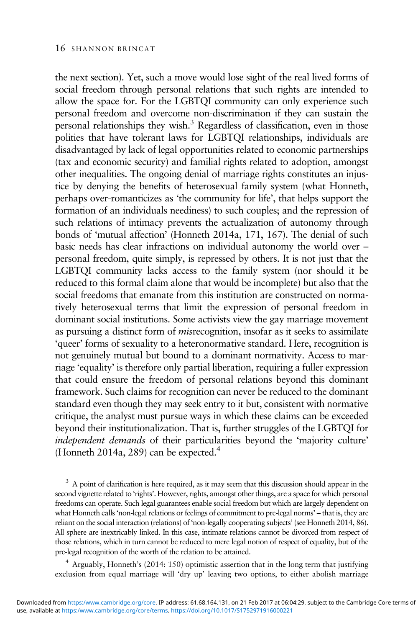the next section). Yet, such a move would lose sight of the real lived forms of social freedom through personal relations that such rights are intended to allow the space for. For the LGBTQI community can only experience such personal freedom and overcome non-discrimination if they can sustain the personal relationships they wish.3 Regardless of classification, even in those polities that have tolerant laws for LGBTQI relationships, individuals are disadvantaged by lack of legal opportunities related to economic partnerships (tax and economic security) and familial rights related to adoption, amongst other inequalities. The ongoing denial of marriage rights constitutes an injustice by denying the benefits of heterosexual family system (what Honneth, perhaps over-romanticizes as 'the community for life', that helps support the formation of an individuals neediness) to such couples; and the repression of such relations of intimacy prevents the actualization of autonomy through bonds of 'mutual affection' (Honneth [2014a](#page-31-0), 171, 167). The denial of such basic needs has clear infractions on individual autonomy the world over – personal freedom, quite simply, is repressed by others. It is not just that the LGBTQI community lacks access to the family system (nor should it be reduced to this formal claim alone that would be incomplete) but also that the social freedoms that emanate from this institution are constructed on normatively heterosexual terms that limit the expression of personal freedom in dominant social institutions. Some activists view the gay marriage movement as pursuing a distinct form of misrecognition, insofar as it seeks to assimilate 'queer' forms of sexuality to a heteronormative standard. Here, recognition is not genuinely mutual but bound to a dominant normativity. Access to marriage 'equality' is therefore only partial liberation, requiring a fuller expression that could ensure the freedom of personal relations beyond this dominant framework. Such claims for recognition can never be reduced to the dominant standard even though they may seek entry to it but, consistent with normative critique, the analyst must pursue ways in which these claims can be exceeded beyond their institutionalization. That is, further struggles of the LGBTQI for independent demands of their particularities beyond the 'majority culture' (Honneth [2014a](#page-31-0), 289) can be expected.<sup>4</sup>

<sup>3</sup> A point of clarification is here required, as it may seem that this discussion should appear in the second vignette related to 'rights'. However, rights, amongst other things, are a space for which personal freedoms can operate. Such legal guarantees enable social freedom but which are largely dependent on what Honneth calls 'non-legal relations or feelings of commitment to pre-legal norms' – that is, they are reliant on the social interaction (relations) of 'non-legally cooperating subjects' (see Honneth [2014](#page-31-0), 86). All sphere are inextricably linked. In this case, intimate relations cannot be divorced from respect of those relations, which in turn cannot be reduced to mere legal notion of respect of equality, but of the pre-legal recognition of the worth of the relation to be attained.

<sup>4</sup> Arguably, Honneth's ([2014](#page-31-0): 150) optimistic assertion that in the long term that justifying exclusion from equal marriage will 'dry up' leaving two options, to either abolish marriage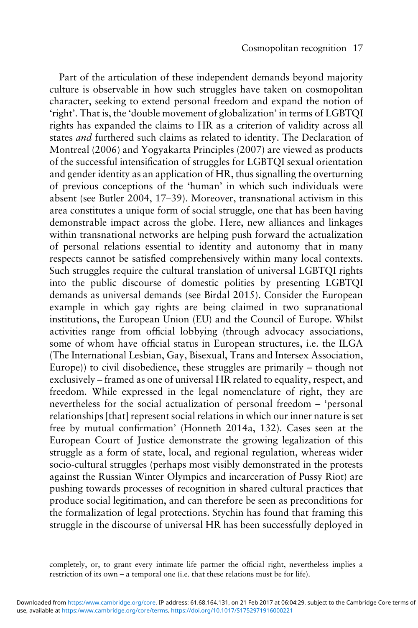Part of the articulation of these independent demands beyond majority culture is observable in how such struggles have taken on cosmopolitan character, seeking to extend personal freedom and expand the notion of 'right'. That is, the 'double movement of globalization' in terms of LGBTQI rights has expanded the claims to HR as a criterion of validity across all states *and* furthered such claims as related to identity. The Declaration of Montreal (2006) and Yogyakarta Principles (2007) are viewed as products of the successful intensification of struggles for LGBTQI sexual orientation and gender identity as an application of HR, thus signalling the overturning of previous conceptions of the 'human' in which such individuals were absent (see Butler [2004,](#page-29-0) 17–39). Moreover, transnational activism in this area constitutes a unique form of social struggle, one that has been having demonstrable impact across the globe. Here, new alliances and linkages within transnational networks are helping push forward the actualization of personal relations essential to identity and autonomy that in many respects cannot be satisfied comprehensively within many local contexts. Such struggles require the cultural translation of universal LGBTQI rights into the public discourse of domestic polities by presenting LGBTQI demands as universal demands (see Birdal [2015\)](#page-29-0). Consider the European example in which gay rights are being claimed in two supranational institutions, the European Union (EU) and the Council of Europe. Whilst activities range from official lobbying (through advocacy associations, some of whom have official status in European structures, i.e. the ILGA (The International Lesbian, Gay, Bisexual, Trans and Intersex Association, Europe)) to civil disobedience, these struggles are primarily – though not exclusively – framed as one of universal HR related to equality, respect, and freedom. While expressed in the legal nomenclature of right, they are nevertheless for the social actualization of personal freedom – 'personal relationships [that] represent social relations in which our inner nature is set free by mutual confirmation' (Honneth [2014](#page-31-0)a, 132). Cases seen at the European Court of Justice demonstrate the growing legalization of this struggle as a form of state, local, and regional regulation, whereas wider socio-cultural struggles (perhaps most visibly demonstrated in the protests against the Russian Winter Olympics and incarceration of Pussy Riot) are pushing towards processes of recognition in shared cultural practices that produce social legitimation, and can therefore be seen as preconditions for the formalization of legal protections. Stychin has found that framing this struggle in the discourse of universal HR has been successfully deployed in

completely, or, to grant every intimate life partner the official right, nevertheless implies a restriction of its own – a temporal one (i.e. that these relations must be for life).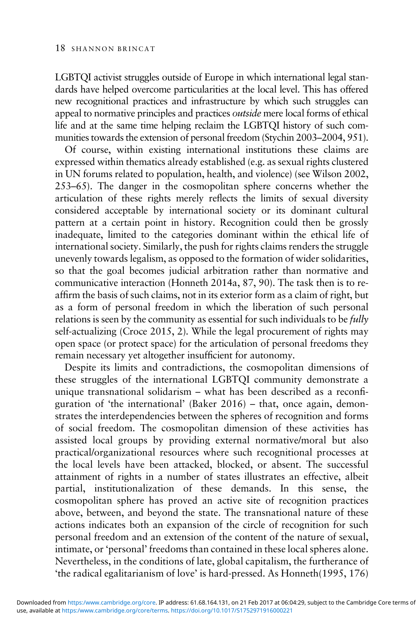LGBTQI activist struggles outside of Europe in which international legal standards have helped overcome particularities at the local level. This has offered new recognitional practices and infrastructure by which such struggles can appeal to normative principles and practices outside mere local forms of ethical life and at the same time helping reclaim the LGBTQI history of such communities towards the extension of personal freedom (Stychin 2003–[2004](#page-31-0), 951).

Of course, within existing international institutions these claims are expressed within thematics already established (e.g. as sexual rights clustered in UN forums related to population, health, and violence) (see Wilson [2002](#page-31-0), 253–65). The danger in the cosmopolitan sphere concerns whether the articulation of these rights merely reflects the limits of sexual diversity considered acceptable by international society or its dominant cultural pattern at a certain point in history. Recognition could then be grossly inadequate, limited to the categories dominant within the ethical life of international society. Similarly, the push for rights claims renders the struggle unevenly towards legalism, as opposed to the formation of wider solidarities, so that the goal becomes judicial arbitration rather than normative and communicative interaction (Honneth [2014a](#page-31-0), 87, 90). The task then is to reaffirm the basis of such claims, not in its exterior form as a claim of right, but as a form of personal freedom in which the liberation of such personal relations is seen by the community as essential for such individuals to be *fully* self-actualizing (Croce [2015](#page-30-0), 2). While the legal procurement of rights may open space (or protect space) for the articulation of personal freedoms they remain necessary yet altogether insufficient for autonomy.

Despite its limits and contradictions, the cosmopolitan dimensions of these struggles of the international LGBTQI community demonstrate a unique transnational solidarism – what has been described as a reconfiguration of 'the international' (Baker 2016) – that, once again, demonstrates the interdependencies between the spheres of recognition and forms of social freedom. The cosmopolitan dimension of these activities has assisted local groups by providing external normative/moral but also practical/organizational resources where such recognitional processes at the local levels have been attacked, blocked, or absent. The successful attainment of rights in a number of states illustrates an effective, albeit partial, institutionalization of these demands. In this sense, the cosmopolitan sphere has proved an active site of recognition practices above, between, and beyond the state. The transnational nature of these actions indicates both an expansion of the circle of recognition for such personal freedom and an extension of the content of the nature of sexual, intimate, or 'personal' freedoms than contained in these local spheres alone. Nevertheless, in the conditions of late, global capitalism, the furtherance of 'the radical egalitarianism of love' is hard-pressed. As Honneth([1995](#page-30-0), 176)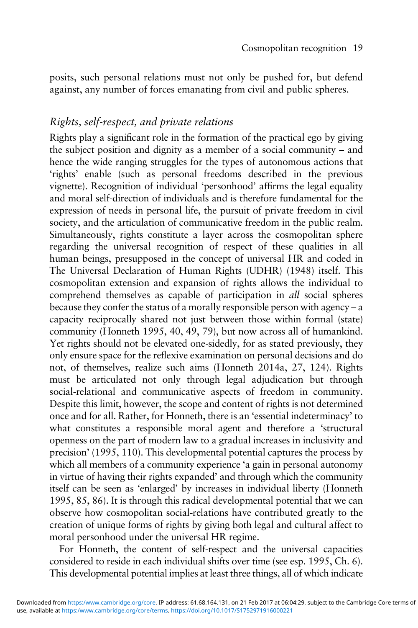posits, such personal relations must not only be pushed for, but defend against, any number of forces emanating from civil and public spheres.

# Rights, self-respect, and private relations

Rights play a significant role in the formation of the practical ego by giving the subject position and dignity as a member of a social community – and hence the wide ranging struggles for the types of autonomous actions that 'rights' enable (such as personal freedoms described in the previous vignette). Recognition of individual 'personhood' affirms the legal equality and moral self-direction of individuals and is therefore fundamental for the expression of needs in personal life, the pursuit of private freedom in civil society, and the articulation of communicative freedom in the public realm. Simultaneously, rights constitute a layer across the cosmopolitan sphere regarding the universal recognition of respect of these qualities in all human beings, presupposed in the concept of universal HR and coded in The Universal Declaration of Human Rights (UDHR) (1948) itself. This cosmopolitan extension and expansion of rights allows the individual to comprehend themselves as capable of participation in all social spheres because they confer the status of a morally responsible person with agency – a capacity reciprocally shared not just between those within formal (state) community (Honneth [1995](#page-30-0), 40, 49, 79), but now across all of humankind. Yet rights should not be elevated one-sidedly, for as stated previously, they only ensure space for the reflexive examination on personal decisions and do not, of themselves, realize such aims (Honneth [2014](#page-31-0)a, 27, 124). Rights must be articulated not only through legal adjudication but through social-relational and communicative aspects of freedom in community. Despite this limit, however, the scope and content of rights is not determined once and for all. Rather, for Honneth, there is an 'essential indeterminacy' to what constitutes a responsible moral agent and therefore a 'structural openness on the part of modern law to a gradual increases in inclusivity and precision' ([1995,](#page-30-0) 110). This developmental potential captures the process by which all members of a community experience 'a gain in personal autonomy in virtue of having their rights expanded' and through which the community itself can be seen as 'enlarged' by increases in individual liberty (Honneth [1995](#page-30-0), 85, 86). It is through this radical developmental potential that we can observe how cosmopolitan social-relations have contributed greatly to the creation of unique forms of rights by giving both legal and cultural affect to moral personhood under the universal HR regime.

For Honneth, the content of self-respect and the universal capacities considered to reside in each individual shifts over time (see esp. [1995,](#page-30-0) Ch. 6). This developmental potential implies at least three things, all of which indicate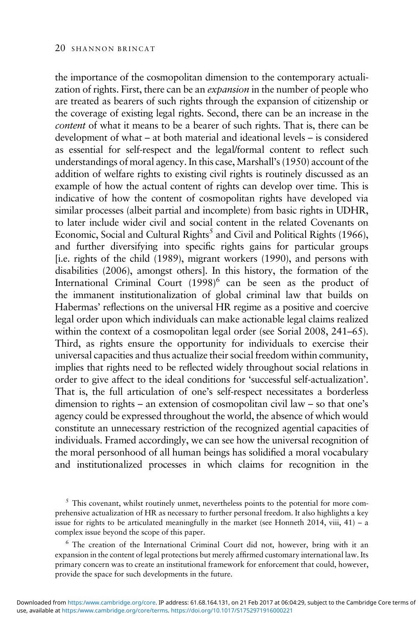the importance of the cosmopolitan dimension to the contemporary actualization of rights. First, there can be an expansion in the number of people who are treated as bearers of such rights through the expansion of citizenship or the coverage of existing legal rights. Second, there can be an increase in the content of what it means to be a bearer of such rights. That is, there can be development of what – at both material and ideational levels – is considered as essential for self-respect and the legal/formal content to reflect such understandings of moral agency. In this case, Marshall's ([1950\)](#page-31-0) account of the addition of welfare rights to existing civil rights is routinely discussed as an example of how the actual content of rights can develop over time. This is indicative of how the content of cosmopolitan rights have developed via similar processes (albeit partial and incomplete) from basic rights in UDHR, to later include wider civil and social content in the related Covenants on Economic, Social and Cultural Rights<sup>5</sup> and Civil and Political Rights (1966), and further diversifying into specific rights gains for particular groups [i.e. rights of the child (1989), migrant workers (1990), and persons with disabilities (2006), amongst others]. In this history, the formation of the International Criminal Court  $(1998)^6$  can be seen as the product of the immanent institutionalization of global criminal law that builds on Habermas' reflections on the universal HR regime as a positive and coercive legal order upon which individuals can make actionable legal claims realized within the context of a cosmopolitan legal order (see Sorial [2008,](#page-31-0) 241–65). Third, as rights ensure the opportunity for individuals to exercise their universal capacities and thus actualize their social freedom within community, implies that rights need to be reflected widely throughout social relations in order to give affect to the ideal conditions for 'successful self-actualization'. That is, the full articulation of one's self-respect necessitates a borderless dimension to rights – an extension of cosmopolitan civil law – so that one's agency could be expressed throughout the world, the absence of which would constitute an unnecessary restriction of the recognized agential capacities of individuals. Framed accordingly, we can see how the universal recognition of the moral personhood of all human beings has solidified a moral vocabulary and institutionalized processes in which claims for recognition in the

 $<sup>5</sup>$  This covenant, whilst routinely unmet, nevertheless points to the potential for more com-</sup> prehensive actualization of HR as necessary to further personal freedom. It also highlights a key issue for rights to be articulated meaningfully in the market (see Honneth [2014](#page-31-0), viii,  $41$ ) – a complex issue beyond the scope of this paper.

<sup>6</sup> The creation of the International Criminal Court did not, however, bring with it an expansion in the content of legal protections but merely affirmed customary international law. Its primary concern was to create an institutional framework for enforcement that could, however, provide the space for such developments in the future.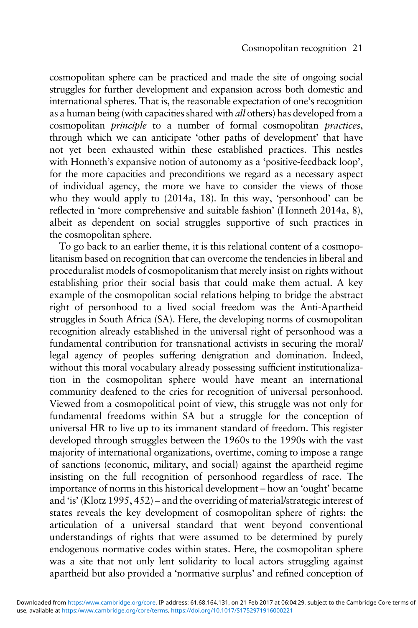cosmopolitan sphere can be practiced and made the site of ongoing social struggles for further development and expansion across both domestic and international spheres. That is, the reasonable expectation of one's recognition as a human being (with capacities shared with all others) has developed from a cosmopolitan principle to a number of formal cosmopolitan practices, through which we can anticipate 'other paths of development' that have not yet been exhausted within these established practices. This nestles with Honneth's expansive notion of autonomy as a 'positive-feedback loop', for the more capacities and preconditions we regard as a necessary aspect of individual agency, the more we have to consider the views of those who they would apply to [\(2014](#page-31-0)a, 18). In this way, 'personhood' can be reflected in 'more comprehensive and suitable fashion' (Honneth [2014a](#page-31-0), 8), albeit as dependent on social struggles supportive of such practices in the cosmopolitan sphere.

To go back to an earlier theme, it is this relational content of a cosmopolitanism based on recognition that can overcome the tendencies in liberal and proceduralist models of cosmopolitanism that merely insist on rights without establishing prior their social basis that could make them actual. A key example of the cosmopolitan social relations helping to bridge the abstract right of personhood to a lived social freedom was the Anti-Apartheid struggles in South Africa (SA). Here, the developing norms of cosmopolitan recognition already established in the universal right of personhood was a fundamental contribution for transnational activists in securing the moral/ legal agency of peoples suffering denigration and domination. Indeed, without this moral vocabulary already possessing sufficient institutionalization in the cosmopolitan sphere would have meant an international community deafened to the cries for recognition of universal personhood. Viewed from a cosmopolitical point of view, this struggle was not only for fundamental freedoms within SA but a struggle for the conception of universal HR to live up to its immanent standard of freedom. This register developed through struggles between the 1960s to the 1990s with the vast majority of international organizations, overtime, coming to impose a range of sanctions (economic, military, and social) against the apartheid regime insisting on the full recognition of personhood regardless of race. The importance of norms in this historical development – how an 'ought' became and 'is' (Klotz [1995](#page-31-0), 452) – and the overriding of material/strategic interest of states reveals the key development of cosmopolitan sphere of rights: the articulation of a universal standard that went beyond conventional understandings of rights that were assumed to be determined by purely endogenous normative codes within states. Here, the cosmopolitan sphere was a site that not only lent solidarity to local actors struggling against apartheid but also provided a 'normative surplus' and refined conception of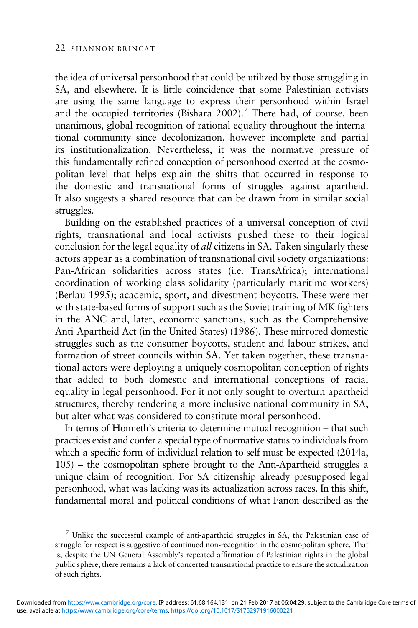the idea of universal personhood that could be utilized by those struggling in SA, and elsewhere. It is little coincidence that some Palestinian activists are using the same language to express their personhood within Israel and the occupied territories (Bishara [2002](#page-29-0)).<sup>7</sup> There had, of course, been unanimous, global recognition of rational equality throughout the international community since decolonization, however incomplete and partial its institutionalization. Nevertheless, it was the normative pressure of this fundamentally refined conception of personhood exerted at the cosmopolitan level that helps explain the shifts that occurred in response to the domestic and transnational forms of struggles against apartheid. It also suggests a shared resource that can be drawn from in similar social struggles.

Building on the established practices of a universal conception of civil rights, transnational and local activists pushed these to their logical conclusion for the legal equality of all citizens in SA. Taken singularly these actors appear as a combination of transnational civil society organizations: Pan-African solidarities across states (i.e. TransAfrica); international coordination of working class solidarity (particularly maritime workers) (Berlau [1995\)](#page-29-0); academic, sport, and divestment boycotts. These were met with state-based forms of support such as the Soviet training of MK fighters in the ANC and, later, economic sanctions, such as the Comprehensive Anti-Apartheid Act (in the United States) (1986). These mirrored domestic struggles such as the consumer boycotts, student and labour strikes, and formation of street councils within SA. Yet taken together, these transnational actors were deploying a uniquely cosmopolitan conception of rights that added to both domestic and international conceptions of racial equality in legal personhood. For it not only sought to overturn apartheid structures, thereby rendering a more inclusive national community in SA, but alter what was considered to constitute moral personhood.

In terms of Honneth's criteria to determine mutual recognition – that such practices exist and confer a special type of normative status to individuals from which a specific form of individual relation-to-self must be expected [\(2014](#page-31-0)a, 105) – the cosmopolitan sphere brought to the Anti-Apartheid struggles a unique claim of recognition. For SA citizenship already presupposed legal personhood, what was lacking was its actualization across races. In this shift, fundamental moral and political conditions of what Fanon described as the

<sup>&</sup>lt;sup>7</sup> Unlike the successful example of anti-apartheid struggles in SA, the Palestinian case of struggle for respect is suggestive of continued non-recognition in the cosmopolitan sphere. That is, despite the UN General Assembly's repeated affirmation of Palestinian rights in the global public sphere, there remains a lack of concerted transnational practice to ensure the actualization of such rights.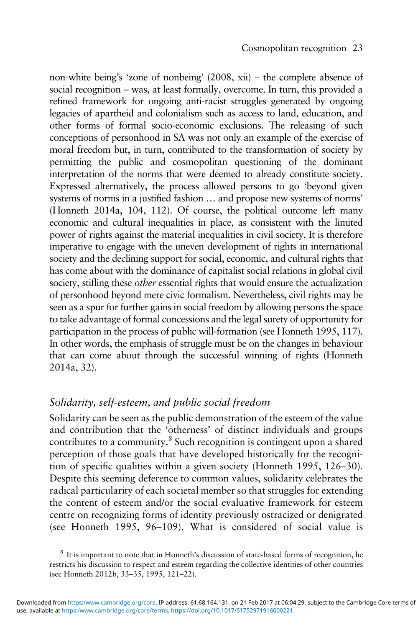non-white being's 'zone of nonbeing' ([2008,](#page-30-0) xii) – the complete absence of social recognition – was, at least formally, overcome. In turn, this provided a refined framework for ongoing anti-racist struggles generated by ongoing legacies of apartheid and colonialism such as access to land, education, and other forms of formal socio-economic exclusions. The releasing of such conceptions of personhood in SA was not only an example of the exercise of moral freedom but, in turn, contributed to the transformation of society by permitting the public and cosmopolitan questioning of the dominant interpretation of the norms that were deemed to already constitute society. Expressed alternatively, the process allowed persons to go 'beyond given systems of norms in a justified fashion … and propose new systems of norms' (Honneth [2014a](#page-31-0), 104, 112). Of course, the political outcome left many economic and cultural inequalities in place, as consistent with the limited power of rights against the material inequalities in civil society. It is therefore imperative to engage with the uneven development of rights in international society and the declining support for social, economic, and cultural rights that has come about with the dominance of capitalist social relations in global civil society, stifling these *other* essential rights that would ensure the actualization of personhood beyond mere civic formalism. Nevertheless, civil rights may be seen as a spur for further gains in social freedom by allowing persons the space to take advantage of formal concessions and the legal surety of opportunity for participation in the process of public will-formation (see Honneth [1995](#page-30-0), 117). In other words, the emphasis of struggle must be on the changes in behaviour that can come about through the successful winning of rights (Honneth [2014a](#page-31-0), 32).

# Solidarity, self-esteem, and public social freedom

Solidarity can be seen as the public demonstration of the esteem of the value and contribution that the 'otherness' of distinct individuals and groups contributes to a community.8 Such recognition is contingent upon a shared perception of those goals that have developed historically for the recognition of specific qualities within a given society (Honneth [1995](#page-30-0), 126–30). Despite this seeming deference to common values, solidarity celebrates the radical particularity of each societal member so that struggles for extending the content of esteem and/or the social evaluative framework for esteem centre on recognizing forms of identity previously ostracized or denigrated (see Honneth [1995](#page-30-0), 96–109). What is considered of social value is

<sup>&</sup>lt;sup>8</sup> It is important to note that in Honneth's discussion of state-based forms of recognition, he restricts his discussion to respect and esteem regarding the collective identities of other countries (see Honneth [2012b](#page-30-0), 33–35, 1995, 121–22).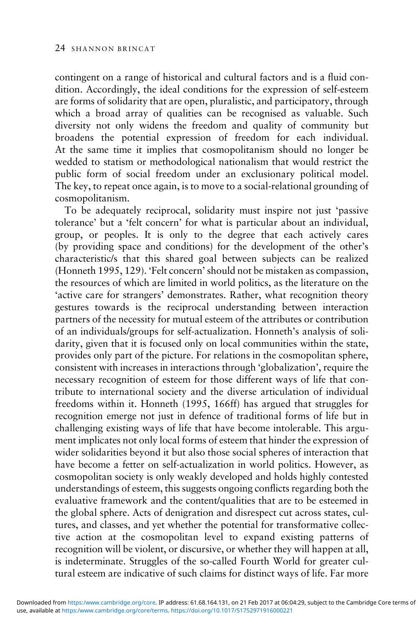contingent on a range of historical and cultural factors and is a fluid condition. Accordingly, the ideal conditions for the expression of self-esteem are forms of solidarity that are open, pluralistic, and participatory, through which a broad array of qualities can be recognised as valuable. Such diversity not only widens the freedom and quality of community but broadens the potential expression of freedom for each individual. At the same time it implies that cosmopolitanism should no longer be wedded to statism or methodological nationalism that would restrict the public form of social freedom under an exclusionary political model. The key, to repeat once again, is to move to a social-relational grounding of cosmopolitanism.

To be adequately reciprocal, solidarity must inspire not just 'passive tolerance' but a 'felt concern' for what is particular about an individual, group, or peoples. It is only to the degree that each actively cares (by providing space and conditions) for the development of the other's characteristic/s that this shared goal between subjects can be realized (Honneth [1995](#page-30-0), 129). 'Felt concern' should not be mistaken as compassion, the resources of which are limited in world politics, as the literature on the 'active care for strangers' demonstrates. Rather, what recognition theory gestures towards is the reciprocal understanding between interaction partners of the necessity for mutual esteem of the attributes or contribution of an individuals/groups for self-actualization. Honneth's analysis of solidarity, given that it is focused only on local communities within the state, provides only part of the picture. For relations in the cosmopolitan sphere, consistent with increases in interactions through 'globalization', require the necessary recognition of esteem for those different ways of life that contribute to international society and the diverse articulation of individual freedoms within it. Honneth (1995, 166ff) has argued that struggles for recognition emerge not just in defence of traditional forms of life but in challenging existing ways of life that have become intolerable. This argument implicates not only local forms of esteem that hinder the expression of wider solidarities beyond it but also those social spheres of interaction that have become a fetter on self-actualization in world politics. However, as cosmopolitan society is only weakly developed and holds highly contested understandings of esteem, this suggests ongoing conflicts regarding both the evaluative framework and the content/qualities that are to be esteemed in the global sphere. Acts of denigration and disrespect cut across states, cultures, and classes, and yet whether the potential for transformative collective action at the cosmopolitan level to expand existing patterns of recognition will be violent, or discursive, or whether they will happen at all, is indeterminate. Struggles of the so-called Fourth World for greater cultural esteem are indicative of such claims for distinct ways of life. Far more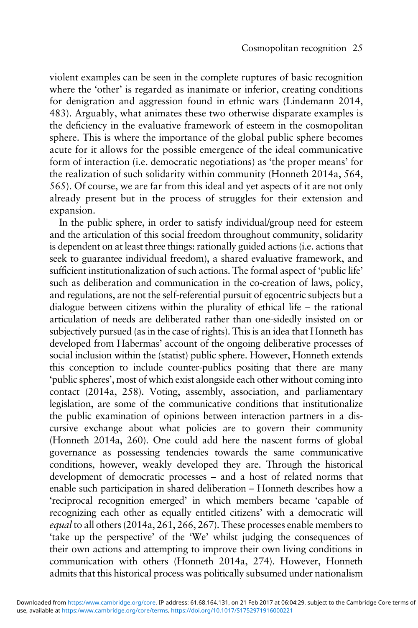violent examples can be seen in the complete ruptures of basic recognition where the 'other' is regarded as inanimate or inferior, creating conditions for denigration and aggression found in ethnic wars (Lindemann [2014](#page-31-0), 483). Arguably, what animates these two otherwise disparate examples is the deficiency in the evaluative framework of esteem in the cosmopolitan sphere. This is where the importance of the global public sphere becomes acute for it allows for the possible emergence of the ideal communicative form of interaction (i.e. democratic negotiations) as 'the proper means' for the realization of such solidarity within community (Honneth [2014a](#page-31-0), 564, 565). Of course, we are far from this ideal and yet aspects of it are not only already present but in the process of struggles for their extension and expansion.

In the public sphere, in order to satisfy individual/group need for esteem and the articulation of this social freedom throughout community, solidarity is dependent on at least three things: rationally guided actions (i.e. actions that seek to guarantee individual freedom), a shared evaluative framework, and sufficient institutionalization of such actions. The formal aspect of 'public life' such as deliberation and communication in the co-creation of laws, policy, and regulations, are not the self-referential pursuit of egocentric subjects but a dialogue between citizens within the plurality of ethical life – the rational articulation of needs are deliberated rather than one-sidedly insisted on or subjectively pursued (as in the case of rights). This is an idea that Honneth has developed from Habermas' account of the ongoing deliberative processes of social inclusion within the (statist) public sphere. However, Honneth extends this conception to include counter-publics positing that there are many 'public spheres', most of which exist alongside each other without coming into contact ([2014a](#page-31-0), 258). Voting, assembly, association, and parliamentary legislation, are some of the communicative conditions that institutionalize the public examination of opinions between interaction partners in a discursive exchange about what policies are to govern their community (Honneth [2014a](#page-31-0), 260). One could add here the nascent forms of global governance as possessing tendencies towards the same communicative conditions, however, weakly developed they are. Through the historical development of democratic processes – and a host of related norms that enable such participation in shared deliberation – Honneth describes how a 'reciprocal recognition emerged' in which members became 'capable of recognizing each other as equally entitled citizens' with a democratic will equal to all others [\(2014](#page-31-0)a, 261, 266, 267). These processes enable members to 'take up the perspective' of the 'We' whilst judging the consequences of their own actions and attempting to improve their own living conditions in communication with others (Honneth [2014a](#page-31-0), 274). However, Honneth admits that this historical process was politically subsumed under nationalism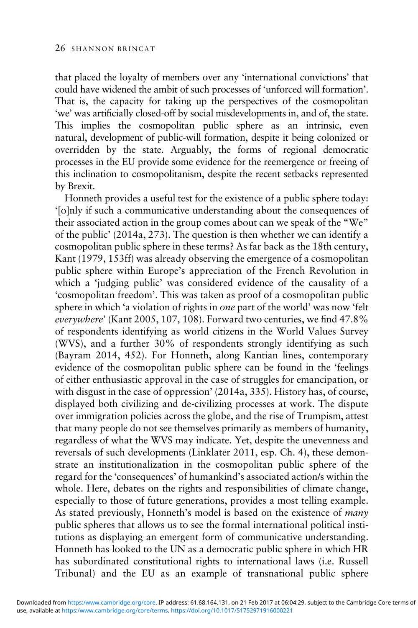that placed the loyalty of members over any 'international convictions' that could have widened the ambit of such processes of 'unforced will formation'. That is, the capacity for taking up the perspectives of the cosmopolitan 'we' was artificially closed-off by social misdevelopments in, and of, the state. This implies the cosmopolitan public sphere as an intrinsic, even natural, development of public-will formation, despite it being colonized or overridden by the state. Arguably, the forms of regional democratic processes in the EU provide some evidence for the reemergence or freeing of this inclination to cosmopolitanism, despite the recent setbacks represented by Brexit.

Honneth provides a useful test for the existence of a public sphere today: '[o]nly if such a communicative understanding about the consequences of their associated action in the group comes about can we speak of the "We" of the public' ([2014](#page-31-0)a, 273). The question is then whether we can identify a cosmopolitan public sphere in these terms? As far back as the 18th century, Kant ([1979](#page-31-0), 153ff) was already observing the emergence of a cosmopolitan public sphere within Europe's appreciation of the French Revolution in which a 'judging public' was considered evidence of the causality of a 'cosmopolitan freedom'. This was taken as proof of a cosmopolitan public sphere in which 'a violation of rights in one part of the world' was now 'felt everywhere' (Kant [2005,](#page-31-0) 107, 108). Forward two centuries, we find 47.8% of respondents identifying as world citizens in the World Values Survey (WVS), and a further 30% of respondents strongly identifying as such (Bayram [2014](#page-29-0), 452). For Honneth, along Kantian lines, contemporary evidence of the cosmopolitan public sphere can be found in the 'feelings of either enthusiastic approval in the case of struggles for emancipation, or with disgust in the case of oppression' ([2014](#page-31-0)a, 335). History has, of course, displayed both civilizing and de-civilizing processes at work. The dispute over immigration policies across the globe, and the rise of Trumpism, attest that many people do not see themselves primarily as members of humanity, regardless of what the WVS may indicate. Yet, despite the unevenness and reversals of such developments (Linklater [2011](#page-31-0), esp. Ch. 4), these demonstrate an institutionalization in the cosmopolitan public sphere of the regard for the 'consequences' of humankind's associated action/s within the whole. Here, debates on the rights and responsibilities of climate change, especially to those of future generations, provides a most telling example. As stated previously, Honneth's model is based on the existence of *many* public spheres that allows us to see the formal international political institutions as displaying an emergent form of communicative understanding. Honneth has looked to the UN as a democratic public sphere in which HR has subordinated constitutional rights to international laws (i.e. Russell Tribunal) and the EU as an example of transnational public sphere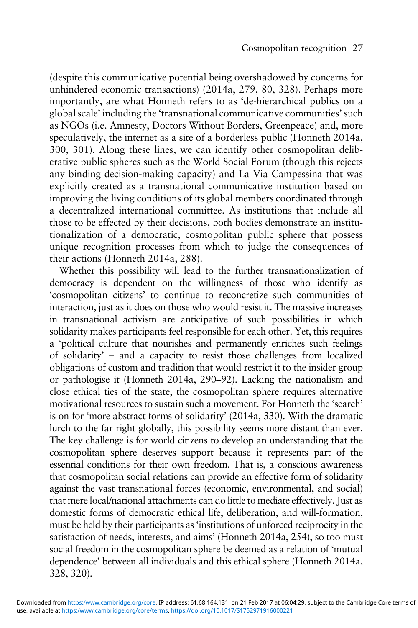(despite this communicative potential being overshadowed by concerns for unhindered economic transactions) [\(2014a](#page-31-0), 279, 80, 328). Perhaps more importantly, are what Honneth refers to as 'de-hierarchical publics on a global scale' including the 'transnational communicative communities'such as NGOs (i.e. Amnesty, Doctors Without Borders, Greenpeace) and, more speculatively, the internet as a site of a borderless public (Honneth [2014](#page-31-0)a, 300, 301). Along these lines, we can identify other cosmopolitan deliberative public spheres such as the World Social Forum (though this rejects any binding decision-making capacity) and La Via Campessina that was explicitly created as a transnational communicative institution based on improving the living conditions of its global members coordinated through a decentralized international committee. As institutions that include all those to be effected by their decisions, both bodies demonstrate an institutionalization of a democratic, cosmopolitan public sphere that possess unique recognition processes from which to judge the consequences of their actions (Honneth [2014](#page-31-0)a, 288).

Whether this possibility will lead to the further transnationalization of democracy is dependent on the willingness of those who identify as 'cosmopolitan citizens' to continue to reconcretize such communities of interaction, just as it does on those who would resist it. The massive increases in transnational activism are anticipative of such possibilities in which solidarity makes participants feel responsible for each other. Yet, this requires a 'political culture that nourishes and permanently enriches such feelings of solidarity' – and a capacity to resist those challenges from localized obligations of custom and tradition that would restrict it to the insider group or pathologise it (Honneth [2014a](#page-31-0), 290–92). Lacking the nationalism and close ethical ties of the state, the cosmopolitan sphere requires alternative motivational resources to sustain such a movement. For Honneth the 'search' is on for 'more abstract forms of solidarity' [\(2014](#page-31-0)a, 330). With the dramatic lurch to the far right globally, this possibility seems more distant than ever. The key challenge is for world citizens to develop an understanding that the cosmopolitan sphere deserves support because it represents part of the essential conditions for their own freedom. That is, a conscious awareness that cosmopolitan social relations can provide an effective form of solidarity against the vast transnational forces (economic, environmental, and social) that mere local/national attachments can do little to mediate effectively. Just as domestic forms of democratic ethical life, deliberation, and will-formation, must be held by their participants as'institutions of unforced reciprocity in the satisfaction of needs, interests, and aims' (Honneth [2014a](#page-31-0), 254), so too must social freedom in the cosmopolitan sphere be deemed as a relation of 'mutual dependence' between all individuals and this ethical sphere (Honneth [2014](#page-31-0)a, 328, 320).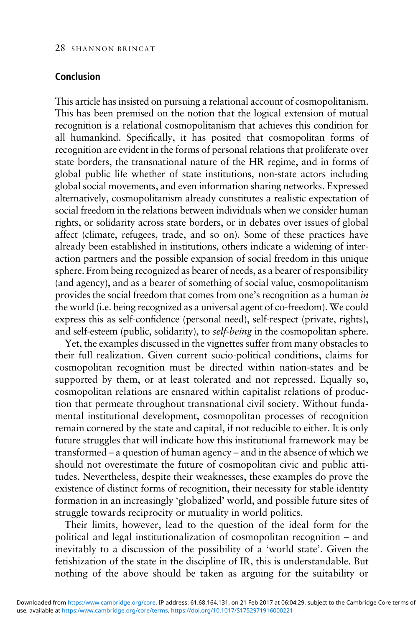# Conclusion

This article has insisted on pursuing a relational account of cosmopolitanism. This has been premised on the notion that the logical extension of mutual recognition is a relational cosmopolitanism that achieves this condition for all humankind. Specifically, it has posited that cosmopolitan forms of recognition are evident in the forms of personal relations that proliferate over state borders, the transnational nature of the HR regime, and in forms of global public life whether of state institutions, non-state actors including global social movements, and even information sharing networks. Expressed alternatively, cosmopolitanism already constitutes a realistic expectation of social freedom in the relations between individuals when we consider human rights, or solidarity across state borders, or in debates over issues of global affect (climate, refugees, trade, and so on). Some of these practices have already been established in institutions, others indicate a widening of interaction partners and the possible expansion of social freedom in this unique sphere. From being recognized as bearer of needs, as a bearer of responsibility (and agency), and as a bearer of something of social value, cosmopolitanism provides the social freedom that comes from one's recognition as a human in the world (i.e. being recognized as a universal agent of co-freedom). We could express this as self-confidence (personal need), self-respect (private, rights), and self-esteem (public, solidarity), to self-being in the cosmopolitan sphere.

Yet, the examples discussed in the vignettes suffer from many obstacles to their full realization. Given current socio-political conditions, claims for cosmopolitan recognition must be directed within nation-states and be supported by them, or at least tolerated and not repressed. Equally so, cosmopolitan relations are ensnared within capitalist relations of production that permeate throughout transnational civil society. Without fundamental institutional development, cosmopolitan processes of recognition remain cornered by the state and capital, if not reducible to either. It is only future struggles that will indicate how this institutional framework may be transformed – a question of human agency – and in the absence of which we should not overestimate the future of cosmopolitan civic and public attitudes. Nevertheless, despite their weaknesses, these examples do prove the existence of distinct forms of recognition, their necessity for stable identity formation in an increasingly 'globalized' world, and possible future sites of struggle towards reciprocity or mutuality in world politics.

Their limits, however, lead to the question of the ideal form for the political and legal institutionalization of cosmopolitan recognition – and inevitably to a discussion of the possibility of a 'world state'. Given the fetishization of the state in the discipline of IR, this is understandable. But nothing of the above should be taken as arguing for the suitability or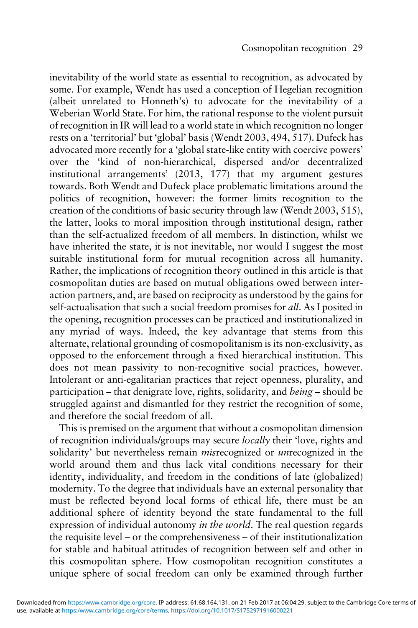inevitability of the world state as essential to recognition, as advocated by some. For example, Wendt has used a conception of Hegelian recognition (albeit unrelated to Honneth's) to advocate for the inevitability of a Weberian World State. For him, the rational response to the violent pursuit of recognition in IR will lead to a world state in which recognition no longer rests on a 'territorial' but 'global' basis (Wendt [2003,](#page-31-0) 494, 517). Dufeck has advocated more recently for a 'global state-like entity with coercive powers' over the 'kind of non-hierarchical, dispersed and/or decentralized institutional arrangements' ([2013](#page-30-0), 177) that my argument gestures towards. Both Wendt and Dufeck place problematic limitations around the politics of recognition, however: the former limits recognition to the creation of the conditions of basic security through law (Wendt [2003](#page-31-0), 515), the latter, looks to moral imposition through institutional design, rather than the self-actualized freedom of all members. In distinction, whilst we have inherited the state, it is not inevitable, nor would I suggest the most suitable institutional form for mutual recognition across all humanity. Rather, the implications of recognition theory outlined in this article is that cosmopolitan duties are based on mutual obligations owed between interaction partners, and, are based on reciprocity as understood by the gains for self-actualisation that such a social freedom promises for all. As I posited in the opening, recognition processes can be practiced and institutionalized in any myriad of ways. Indeed, the key advantage that stems from this alternate, relational grounding of cosmopolitanism is its non-exclusivity, as opposed to the enforcement through a fixed hierarchical institution. This does not mean passivity to non-recognitive social practices, however. Intolerant or anti-egalitarian practices that reject openness, plurality, and participation – that denigrate love, rights, solidarity, and being – should be struggled against and dismantled for they restrict the recognition of some, and therefore the social freedom of all.

This is premised on the argument that without a cosmopolitan dimension of recognition individuals/groups may secure locally their 'love, rights and solidarity' but nevertheless remain *misrecognized* or *unrecognized* in the world around them and thus lack vital conditions necessary for their identity, individuality, and freedom in the conditions of late (globalized) modernity. To the degree that individuals have an external personality that must be reflected beyond local forms of ethical life, there must be an additional sphere of identity beyond the state fundamental to the full expression of individual autonomy in the world. The real question regards the requisite level – or the comprehensiveness – of their institutionalization for stable and habitual attitudes of recognition between self and other in this cosmopolitan sphere. How cosmopolitan recognition constitutes a unique sphere of social freedom can only be examined through further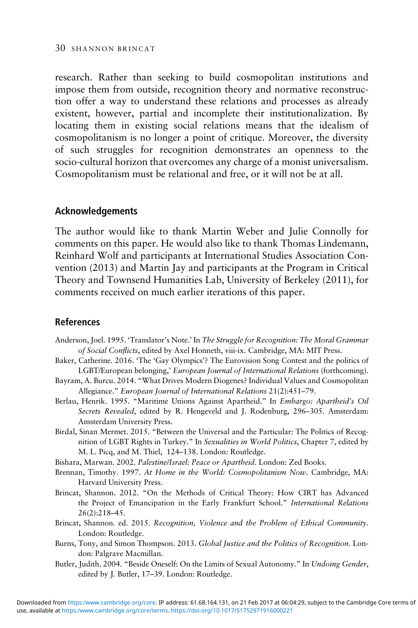<span id="page-29-0"></span>research. Rather than seeking to build cosmopolitan institutions and impose them from outside, recognition theory and normative reconstruction offer a way to understand these relations and processes as already existent, however, partial and incomplete their institutionalization. By locating them in existing social relations means that the idealism of cosmopolitanism is no longer a point of critique. Moreover, the diversity of such struggles for recognition demonstrates an openness to the socio-cultural horizon that overcomes any charge of a monist universalism. Cosmopolitanism must be relational and free, or it will not be at all.

## Acknowledgements

The author would like to thank Martin Weber and Julie Connolly for comments on this paper. He would also like to thank Thomas Lindemann, Reinhard Wolf and participants at International Studies Association Convention (2013) and Martin Jay and participants at the Program in Critical Theory and Townsend Humanities Lab, University of Berkeley (2011), for comments received on much earlier iterations of this paper.

## References

- Anderson, Joel. 1995. 'Translator's Note.' In The Struggle for Recognition: The Moral Grammar of Social Conflicts, edited by Axel Honneth, viii-ix. Cambridge, MA: MIT Press.
- Baker, Catherine. 2016. 'The 'Gay Olympics'? The Eurovision Song Contest and the politics of LGBT/European belonging,' European Journal of International Relations (forthcoming).
- Bayram, A. Burcu. 2014. "What Drives Modern Diogenes? Individual Values and Cosmopolitan Allegiance." European Journal of International Relations 21(2):451–79.
- Berlau, Henrik. 1995. "Maritime Unions Against Apartheid." In Embargo: Apartheid's Oil Secrets Revealed, edited by R. Hengeveld and J. Rodenburg, 296–305. Amsterdam: Amsterdam University Press.
- Birdal, Sinan Mermet. 2015. "Between the Universal and the Particular: The Politics of Recognition of LGBT Rights in Turkey." In Sexualities in World Politics, Chapter 7, edited by M. L. Picq, and M. Thiel, 124–138. London: Routledge.
- Bishara, Marwan. 2002. Palestine/Israel: Peace or Apartheid. London: Zed Books.
- Brennan, Timothy. 1997. At Home in the World: Cosmopolitanism Now. Cambridge, MA: Harvard University Press.
- Brincat, Shannon. 2012. "On the Methods of Critical Theory: How CIRT has Advanced the Project of Emancipation in the Early Frankfurt School." International Relations 26(2):218–45.
- Brincat, Shannon. ed. 2015. Recognition, Violence and the Problem of Ethical Community. London: Routledge.
- Burns, Tony, and Simon Thompson. 2013. Global Justice and the Politics of Recognition. London: Palgrave Macmillan.
- Butler, Judith. 2004. "Beside Oneself: On the Limits of Sexual Autonomy." In Undoing Gender, edited by J. Butler, 17–39. London: Routledge.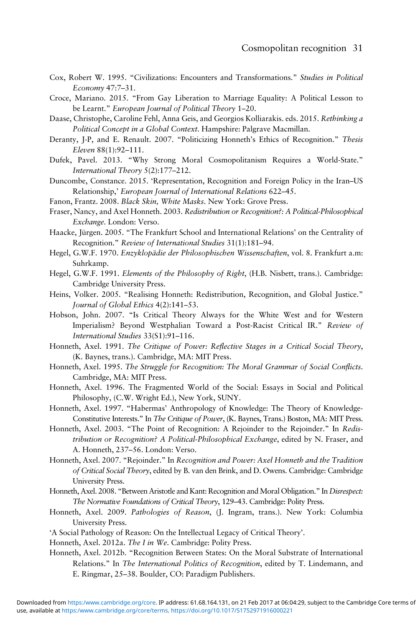- <span id="page-30-0"></span>Cox, Robert W. 1995. "Civilizations: Encounters and Transformations." Studies in Political Economy 47:7–31.
- Croce, Mariano. 2015. "From Gay Liberation to Marriage Equality: A Political Lesson to be Learnt." European Journal of Political Theory 1–20.
- Daase, Christophe, Caroline Fehl, Anna Geis, and Georgios Kolliarakis. eds. 2015. Rethinking a Political Concept in a Global Context. Hampshire: Palgrave Macmillan.
- Deranty, J-P, and E. Renault. 2007. "Politicizing Honneth's Ethics of Recognition." Thesis Eleven 88(1):92–111.
- Dufek, Pavel. 2013. "Why Strong Moral Cosmopolitanism Requires a World-State." International Theory 5(2):177–212.
- Duncombe, Constance. 2015. 'Representation, Recognition and Foreign Policy in the Iran–US Relationship,' European Journal of International Relations 622–45.
- Fanon, Frantz. 2008. Black Skin, White Masks. New York: Grove Press.
- Fraser, Nancy, and Axel Honneth. 2003. Redistribution or Recognition?: A Political-Philosophical Exchange. London: Verso.
- Haacke, Jürgen. 2005. "The Frankfurt School and International Relations' on the Centrality of Recognition." Review of International Studies 31(1):181–94.
- Hegel, G.W.F. 1970. Enzyklopädie der Philosophischen Wissenschaften, vol. 8. Frankfurt a.m: Suhrkamp.
- Hegel, G.W.F. 1991. Elements of the Philosophy of Right, (H.B. Nisbett, trans.). Cambridge: Cambridge University Press.
- Heins, Volker. 2005. "Realising Honneth: Redistribution, Recognition, and Global Justice." Journal of Global Ethics 4(2):141–53.
- Hobson, John. 2007. "Is Critical Theory Always for the White West and for Western Imperialism? Beyond Westphalian Toward a Post-Racist Critical IR." Review of International Studies 33(S1):91–116.
- Honneth, Axel. 1991. The Critique of Power: Reflective Stages in a Critical Social Theory, (K. Baynes, trans.). Cambridge, MA: MIT Press.
- Honneth, Axel. 1995. The Struggle for Recognition: The Moral Grammar of Social Conflicts. Cambridge, MA: MIT Press.
- Honneth, Axel. 1996. The Fragmented World of the Social: Essays in Social and Political Philosophy, (C.W. Wright Ed.), New York, SUNY.
- Honneth, Axel. 1997. "Habermas' Anthropology of Knowledge: The Theory of Knowledge-Constitutive Interests." In The Critique of Power, (K. Baynes, Trans.) Boston, MA: MIT Press.
- Honneth, Axel. 2003. "The Point of Recognition: A Rejoinder to the Rejoinder." In Redistribution or Recognition? A Political-Philosophical Exchange, edited by N. Fraser, and A. Honneth, 237–56. London: Verso.
- Honneth, Axel. 2007. "Rejoinder." In Recognition and Power: Axel Honneth and the Tradition of Critical Social Theory, edited by B. van den Brink, and D. Owens. Cambridge: Cambridge University Press.
- Honneth, Axel. 2008. "Between Aristotle and Kant: Recognition and Moral Obligation." In Disrespect: The Normative Foundations of Critical Theory, 129–43. Cambridge: Polity Press.
- Honneth, Axel. 2009. Pathologies of Reason, (J. Ingram, trans.). New York: Columbia University Press.
- 'A Social Pathology of Reason: On the Intellectual Legacy of Critical Theory'.
- Honneth, Axel. 2012a. The I in We. Cambridge: Polity Press.
- Honneth, Axel. 2012b. "Recognition Between States: On the Moral Substrate of International Relations." In The International Politics of Recognition, edited by T. Lindemann, and E. Ringmar, 25–38. Boulder, CO: Paradigm Publishers.